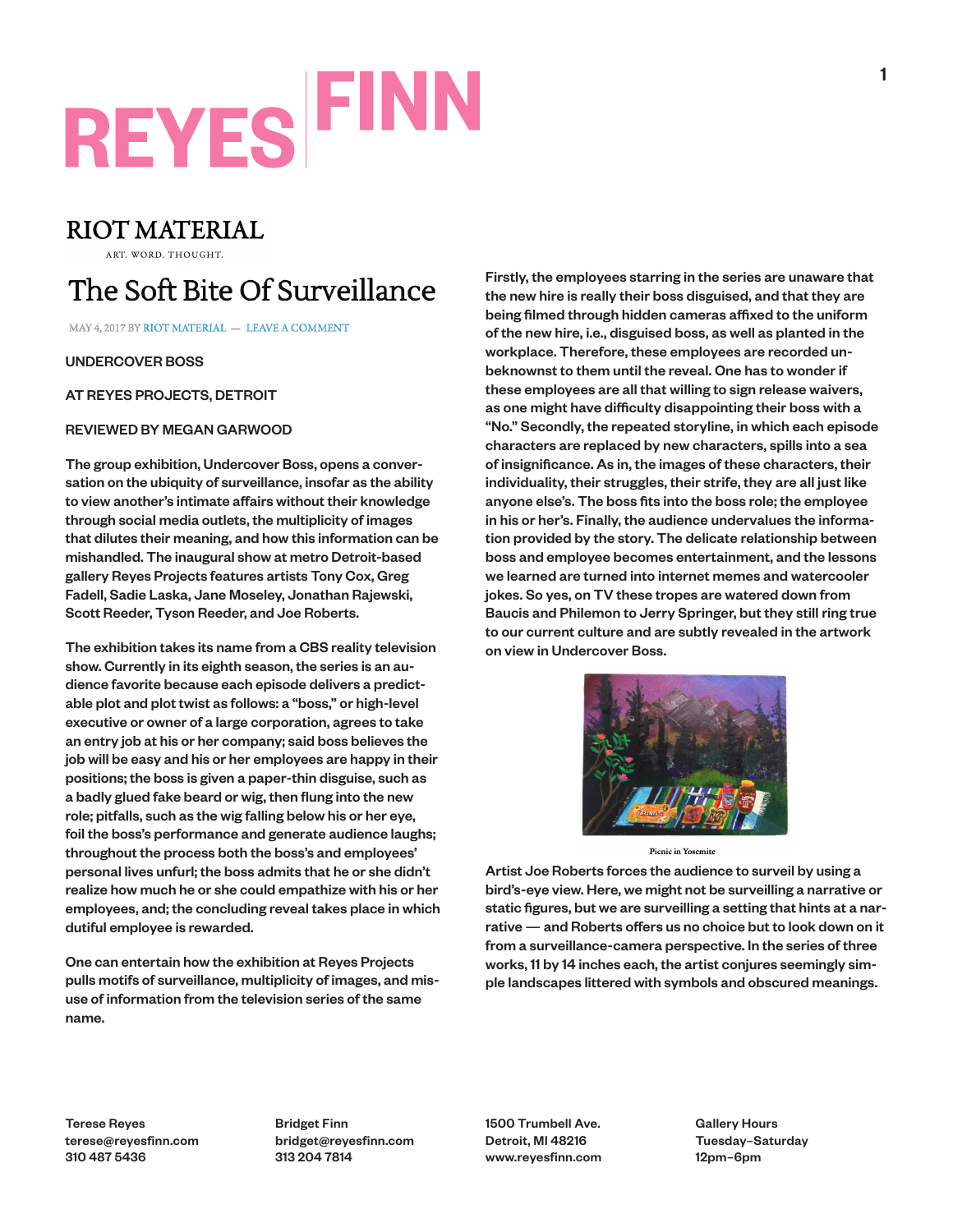# **REYES FINN**

### **RIOT MATERIAL**

ART. WORD. THOUGHT.

### The Soft Bite Of Surveillance

MAY 4, 2017 BY RIOT MATERIAL - LEAVE A COMMENT

UNDERCOVER BOSS

AT REYES PROJECTS, DETROIT

#### REVIEWED BY MEGAN GARWOOD

The group exhibition, Undercover Boss, opens a conversation on the ubiquity of surveillance, insofar as the ability to view another's intimate affairs without their knowledge through social media outlets, the multiplicity of images that dilutes their meaning, and how this information can be mishandled. The inaugural show at metro Detroit-based gallery Reyes Projects features artists Tony Cox, Greg Fadell, Sadie Laska, Jane Moseley, Jonathan Rajewski, Scott Reeder, Tyson Reeder, and Joe Roberts.

The exhibition takes its name from a CBS reality television show. Currently in its eighth season, the series is an audience favorite because each episode delivers a predictable plot and plot twist as follows: a "boss," or high-level executive or owner of a large corporation, agrees to take an entry job at his or her company; said boss believes the job will be easy and his or her employees are happy in their positions; the boss is given a paper-thin disguise, such as a badly glued fake beard or wig, then flung into the new role; pitfalls, such as the wig falling below his or her eye, foil the boss's performance and generate audience laughs; throughout the process both the boss's and employees' personal lives unfurl; the boss admits that he or she didn't realize how much he or she could empathize with his or her employees, and; the concluding reveal takes place in which dutiful employee is rewarded.

One can entertain how the exhibition at Reyes Projects pulls motifs of surveillance, multiplicity of images, and misuse of information from the television series of the same name.

Firstly, the employees starring in the series are unaware that the new hire is really their boss disguised, and that they are being filmed through hidden cameras affixed to the uniform of the new hire, i.e., disguised boss, as well as planted in the workplace. Therefore, these employees are recorded unbeknownst to them until the reveal. One has to wonder if these employees are all that willing to sign release waivers, as one might have difficulty disappointing their boss with a "No." Secondly, the repeated storyline, in which each episode characters are replaced by new characters, spills into a sea of insignificance. As in, the images of these characters, their individuality, their struggles, their strife, they are all just like anyone else's. The boss fits into the boss role; the employee in his or her's. Finally, the audience undervalues the information provided by the story. The delicate relationship between boss and employee becomes entertainment, and the lessons we learned are turned into internet memes and watercooler jokes. So yes, on TV these tropes are watered down from Baucis and Philemon to Jerry Springer, but they still ring true to our current culture and are subtly revealed in the artwork on view in Undercover Boss.



**Picnic in Yosemite** 

Artist Joe Roberts forces the audience to surveil by using a bird's-eye view. Here, we might not be surveilling a narrative or static figures, but we are surveilling a setting that hints at a narrative — and Roberts offers us no choice but to look down on it from a surveillance-camera perspective. In the series of three works, 11 by 14 inches each, the artist conjures seemingly simple landscapes littered with symbols and obscured meanings.

Terese Reyes terese@reyesfinn.com 310 487 5436

Bridget Finn bridget@reyesfinn.com 313 204 7814

1500 Trumbell Ave. Detroit, MI 48216 www.reyesfinn.com Gallery Hours Tuesday–Saturday 12pm–6pm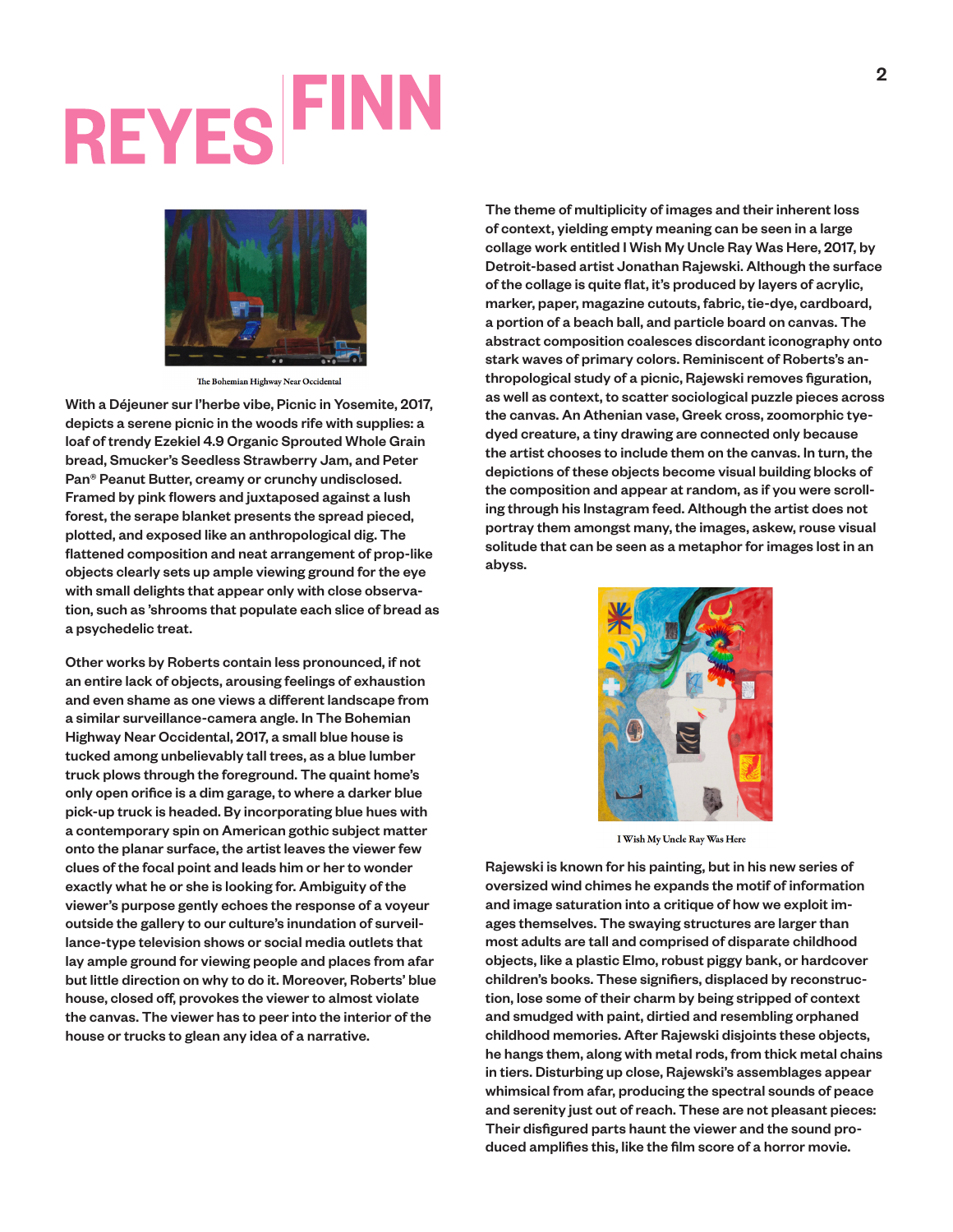### **REYES FINN**



The Bohemian Highway Near Occidental

With a Déjeuner sur l'herbe vibe, Picnic in Yosemite, 2017, depicts a serene picnic in the woods rife with supplies: a loaf of trendy Ezekiel 4.9 Organic Sprouted Whole Grain bread, Smucker's Seedless Strawberry Jam, and Peter Pan® Peanut Butter, creamy or crunchy undisclosed. Framed by pink flowers and juxtaposed against a lush forest, the serape blanket presents the spread pieced, plotted, and exposed like an anthropological dig. The flattened composition and neat arrangement of prop-like objects clearly sets up ample viewing ground for the eye with small delights that appear only with close observation, such as 'shrooms that populate each slice of bread as a psychedelic treat.

Other works by Roberts contain less pronounced, if not an entire lack of objects, arousing feelings of exhaustion and even shame as one views a different landscape from a similar surveillance-camera angle. In The Bohemian Highway Near Occidental, 2017, a small blue house is tucked among unbelievably tall trees, as a blue lumber truck plows through the foreground. The quaint home's only open orifice is a dim garage, to where a darker blue pick-up truck is headed. By incorporating blue hues with a contemporary spin on American gothic subject matter onto the planar surface, the artist leaves the viewer few clues of the focal point and leads him or her to wonder exactly what he or she is looking for. Ambiguity of the viewer's purpose gently echoes the response of a voyeur outside the gallery to our culture's inundation of surveillance-type television shows or social media outlets that lay ample ground for viewing people and places from afar but little direction on why to do it. Moreover, Roberts' blue house, closed off, provokes the viewer to almost violate the canvas. The viewer has to peer into the interior of the house or trucks to glean any idea of a narrative.

The theme of multiplicity of images and their inherent loss of context, yielding empty meaning can be seen in a large collage work entitled I Wish My Uncle Ray Was Here, 2017, by Detroit-based artist Jonathan Rajewski. Although the surface of the collage is quite flat, it's produced by layers of acrylic, marker, paper, magazine cutouts, fabric, tie-dye, cardboard, a portion of a beach ball, and particle board on canvas. The abstract composition coalesces discordant iconography onto stark waves of primary colors. Reminiscent of Roberts's anthropological study of a picnic, Rajewski removes figuration, as well as context, to scatter sociological puzzle pieces across the canvas. An Athenian vase, Greek cross, zoomorphic tyedyed creature, a tiny drawing are connected only because the artist chooses to include them on the canvas. In turn, the depictions of these objects become visual building blocks of the composition and appear at random, as if you were scrolling through his Instagram feed. Although the artist does not portray them amongst many, the images, askew, rouse visual solitude that can be seen as a metaphor for images lost in an abyss.



I Wish My Uncle Ray Was Here

Rajewski is known for his painting, but in his new series of oversized wind chimes he expands the motif of information and image saturation into a critique of how we exploit images themselves. The swaying structures are larger than most adults are tall and comprised of disparate childhood objects, like a plastic Elmo, robust piggy bank, or hardcover children's books. These signifiers, displaced by reconstruction, lose some of their charm by being stripped of context and smudged with paint, dirtied and resembling orphaned childhood memories. After Rajewski disjoints these objects, he hangs them, along with metal rods, from thick metal chains in tiers. Disturbing up close, Rajewski's assemblages appear whimsical from afar, producing the spectral sounds of peace and serenity just out of reach. These are not pleasant pieces: Their disfigured parts haunt the viewer and the sound produced amplifies this, like the film score of a horror movie.